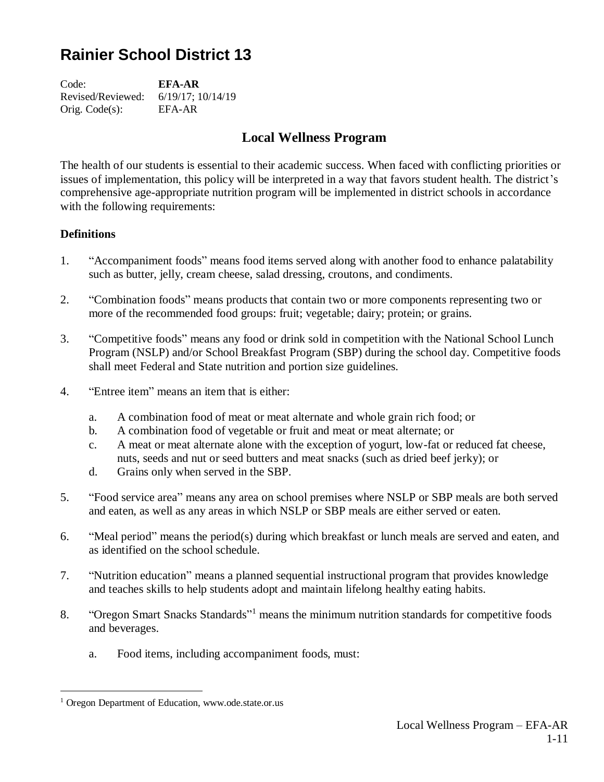# **Rainier School District 13**

Code: **EFA-AR** Revised/Reviewed: 6/19/17; 10/14/19 Orig. Code(s): EFA-AR

# **Local Wellness Program**

The health of our students is essential to their academic success. When faced with conflicting priorities or issues of implementation, this policy will be interpreted in a way that favors student health. The district's comprehensive age-appropriate nutrition program will be implemented in district schools in accordance with the following requirements:

## **Definitions**

- 1. "Accompaniment foods" means food items served along with another food to enhance palatability such as butter, jelly, cream cheese, salad dressing, croutons, and condiments.
- 2. "Combination foods" means products that contain two or more components representing two or more of the recommended food groups: fruit; vegetable; dairy; protein; or grains.
- 3. "Competitive foods" means any food or drink sold in competition with the National School Lunch Program (NSLP) and/or School Breakfast Program (SBP) during the school day. Competitive foods shall meet Federal and State nutrition and portion size guidelines.
- 4. "Entree item" means an item that is either:
	- a. A combination food of meat or meat alternate and whole grain rich food; or
	- b. A combination food of vegetable or fruit and meat or meat alternate; or
	- c. A meat or meat alternate alone with the exception of yogurt, low-fat or reduced fat cheese, nuts, seeds and nut or seed butters and meat snacks (such as dried beef jerky); or
	- d. Grains only when served in the SBP.
- 5. "Food service area" means any area on school premises where NSLP or SBP meals are both served and eaten, as well as any areas in which NSLP or SBP meals are either served or eaten.
- 6. "Meal period" means the period(s) during which breakfast or lunch meals are served and eaten, and as identified on the school schedule.
- 7. "Nutrition education" means a planned sequential instructional program that provides knowledge and teaches skills to help students adopt and maintain lifelong healthy eating habits.
- 8. "Oregon Smart Snacks Standards"<sup>1</sup> means the minimum nutrition standards for competitive foods and beverages.
	- a. Food items, including accompaniment foods, must:

 $\overline{a}$ 

<sup>1</sup> Oregon Department of Education, www.ode.state.or.us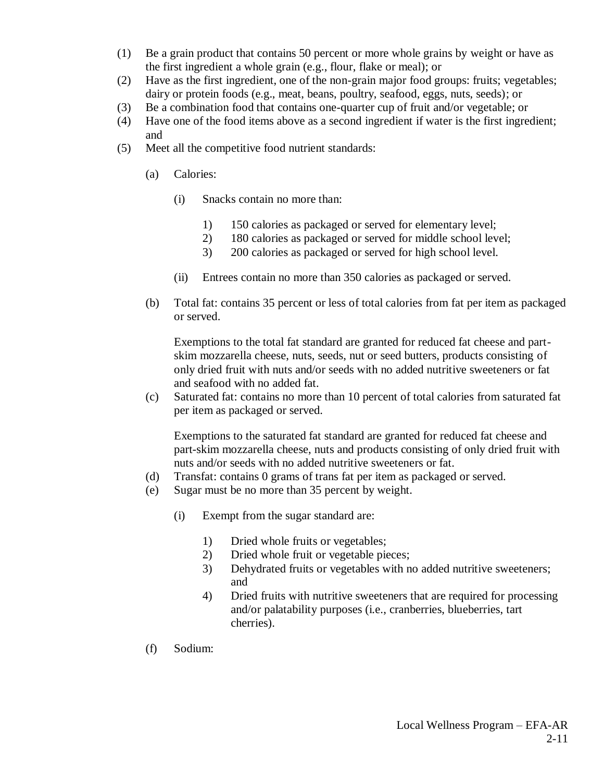- (1) Be a grain product that contains 50 percent or more whole grains by weight or have as the first ingredient a whole grain (e.g., flour, flake or meal); or
- (2) Have as the first ingredient, one of the non-grain major food groups: fruits; vegetables; dairy or protein foods (e.g., meat, beans, poultry, seafood, eggs, nuts, seeds); or
- (3) Be a combination food that contains one-quarter cup of fruit and/or vegetable; or
- (4) Have one of the food items above as a second ingredient if water is the first ingredient; and
- (5) Meet all the competitive food nutrient standards:
	- (a) Calories:
		- (i) Snacks contain no more than:
			- 1) 150 calories as packaged or served for elementary level;
			- 2) 180 calories as packaged or served for middle school level;
			- 3) 200 calories as packaged or served for high school level.
		- (ii) Entrees contain no more than 350 calories as packaged or served.
	- (b) Total fat: contains 35 percent or less of total calories from fat per item as packaged or served.

Exemptions to the total fat standard are granted for reduced fat cheese and partskim mozzarella cheese, nuts, seeds, nut or seed butters, products consisting of only dried fruit with nuts and/or seeds with no added nutritive sweeteners or fat and seafood with no added fat.

(c) Saturated fat: contains no more than 10 percent of total calories from saturated fat per item as packaged or served.

Exemptions to the saturated fat standard are granted for reduced fat cheese and part-skim mozzarella cheese, nuts and products consisting of only dried fruit with nuts and/or seeds with no added nutritive sweeteners or fat.

- (d) Transfat: contains 0 grams of trans fat per item as packaged or served.
- (e) Sugar must be no more than 35 percent by weight.
	- (i) Exempt from the sugar standard are:
		- 1) Dried whole fruits or vegetables;
		- 2) Dried whole fruit or vegetable pieces;
		- 3) Dehydrated fruits or vegetables with no added nutritive sweeteners; and
		- 4) Dried fruits with nutritive sweeteners that are required for processing and/or palatability purposes (i.e., cranberries, blueberries, tart cherries).
- (f) Sodium: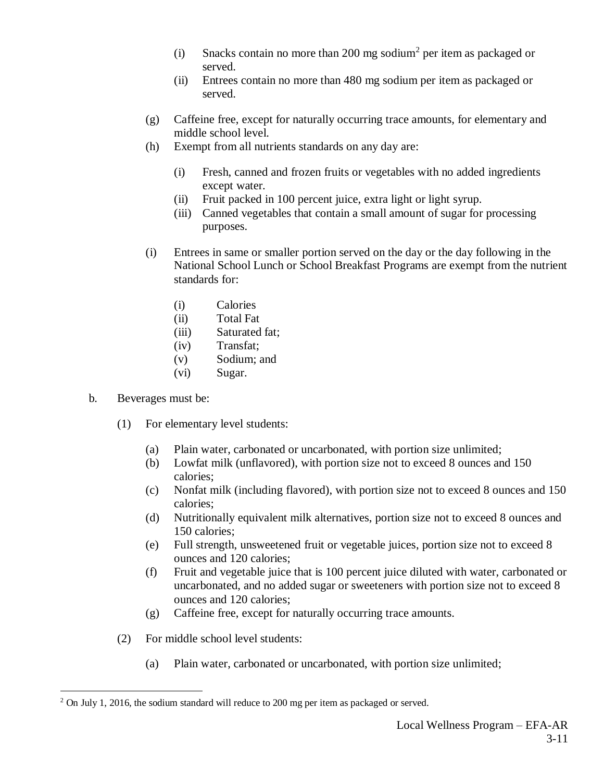- (i) Snacks contain no more than 200 mg sodium<sup>2</sup> per item as packaged or served.
- (ii) Entrees contain no more than 480 mg sodium per item as packaged or served.
- (g) Caffeine free, except for naturally occurring trace amounts, for elementary and middle school level.
- (h) Exempt from all nutrients standards on any day are:
	- (i) Fresh, canned and frozen fruits or vegetables with no added ingredients except water.
	- (ii) Fruit packed in 100 percent juice, extra light or light syrup.
	- (iii) Canned vegetables that contain a small amount of sugar for processing purposes.
- (i) Entrees in same or smaller portion served on the day or the day following in the National School Lunch or School Breakfast Programs are exempt from the nutrient standards for:
	- (i) Calories
	- (ii) Total Fat
	- (iii) Saturated fat;
	- (iv) Transfat;
	- (v) Sodium; and
	- (vi) Sugar.
- b. Beverages must be:

 $\overline{a}$ 

- (1) For elementary level students:
	- (a) Plain water, carbonated or uncarbonated, with portion size unlimited;
	- (b) Lowfat milk (unflavored), with portion size not to exceed 8 ounces and 150 calories;
	- (c) Nonfat milk (including flavored), with portion size not to exceed 8 ounces and 150 calories;
	- (d) Nutritionally equivalent milk alternatives, portion size not to exceed 8 ounces and 150 calories;
	- (e) Full strength, unsweetened fruit or vegetable juices, portion size not to exceed 8 ounces and 120 calories;
	- (f) Fruit and vegetable juice that is 100 percent juice diluted with water, carbonated or uncarbonated, and no added sugar or sweeteners with portion size not to exceed 8 ounces and 120 calories;
	- (g) Caffeine free, except for naturally occurring trace amounts.
- (2) For middle school level students:
	- (a) Plain water, carbonated or uncarbonated, with portion size unlimited;

 $2$  On July 1, 2016, the sodium standard will reduce to 200 mg per item as packaged or served.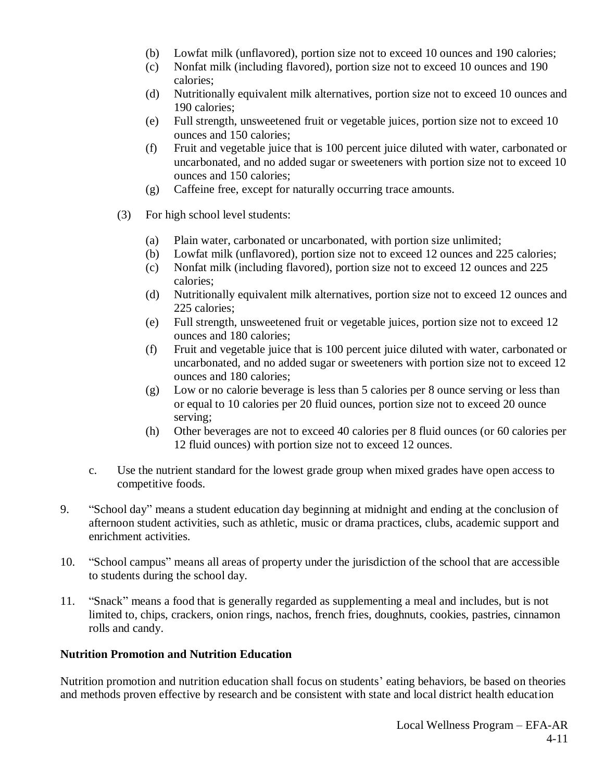- (b) Lowfat milk (unflavored), portion size not to exceed 10 ounces and 190 calories;
- (c) Nonfat milk (including flavored), portion size not to exceed 10 ounces and 190 calories;
- (d) Nutritionally equivalent milk alternatives, portion size not to exceed 10 ounces and 190 calories;
- (e) Full strength, unsweetened fruit or vegetable juices, portion size not to exceed 10 ounces and 150 calories;
- (f) Fruit and vegetable juice that is 100 percent juice diluted with water, carbonated or uncarbonated, and no added sugar or sweeteners with portion size not to exceed 10 ounces and 150 calories;
- (g) Caffeine free, except for naturally occurring trace amounts.
- (3) For high school level students:
	- (a) Plain water, carbonated or uncarbonated, with portion size unlimited;
	- (b) Lowfat milk (unflavored), portion size not to exceed 12 ounces and 225 calories;
	- (c) Nonfat milk (including flavored), portion size not to exceed 12 ounces and 225 calories;
	- (d) Nutritionally equivalent milk alternatives, portion size not to exceed 12 ounces and 225 calories;
	- (e) Full strength, unsweetened fruit or vegetable juices, portion size not to exceed 12 ounces and 180 calories;
	- (f) Fruit and vegetable juice that is 100 percent juice diluted with water, carbonated or uncarbonated, and no added sugar or sweeteners with portion size not to exceed 12 ounces and 180 calories;
	- (g) Low or no calorie beverage is less than 5 calories per 8 ounce serving or less than or equal to 10 calories per 20 fluid ounces, portion size not to exceed 20 ounce serving;
	- (h) Other beverages are not to exceed 40 calories per 8 fluid ounces (or 60 calories per 12 fluid ounces) with portion size not to exceed 12 ounces.
- c. Use the nutrient standard for the lowest grade group when mixed grades have open access to competitive foods.
- 9. "School day" means a student education day beginning at midnight and ending at the conclusion of afternoon student activities, such as athletic, music or drama practices, clubs, academic support and enrichment activities.
- 10. "School campus" means all areas of property under the jurisdiction of the school that are accessible to students during the school day.
- 11. "Snack" means a food that is generally regarded as supplementing a meal and includes, but is not limited to, chips, crackers, onion rings, nachos, french fries, doughnuts, cookies, pastries, cinnamon rolls and candy.

#### **Nutrition Promotion and Nutrition Education**

Nutrition promotion and nutrition education shall focus on students' eating behaviors, be based on theories and methods proven effective by research and be consistent with state and local district health education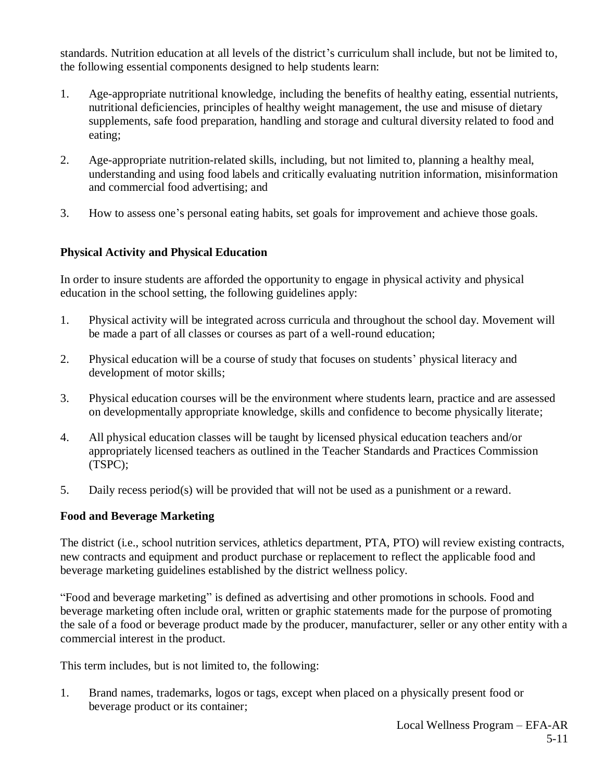standards. Nutrition education at all levels of the district's curriculum shall include, but not be limited to, the following essential components designed to help students learn:

- 1. Age-appropriate nutritional knowledge, including the benefits of healthy eating, essential nutrients, nutritional deficiencies, principles of healthy weight management, the use and misuse of dietary supplements, safe food preparation, handling and storage and cultural diversity related to food and eating;
- 2. Age-appropriate nutrition-related skills, including, but not limited to, planning a healthy meal, understanding and using food labels and critically evaluating nutrition information, misinformation and commercial food advertising; and
- 3. How to assess one's personal eating habits, set goals for improvement and achieve those goals.

# **Physical Activity and Physical Education**

In order to insure students are afforded the opportunity to engage in physical activity and physical education in the school setting, the following guidelines apply:

- 1. Physical activity will be integrated across curricula and throughout the school day. Movement will be made a part of all classes or courses as part of a well-round education;
- 2. Physical education will be a course of study that focuses on students' physical literacy and development of motor skills;
- 3. Physical education courses will be the environment where students learn, practice and are assessed on developmentally appropriate knowledge, skills and confidence to become physically literate;
- 4. All physical education classes will be taught by licensed physical education teachers and/or appropriately licensed teachers as outlined in the Teacher Standards and Practices Commission (TSPC);
- 5. Daily recess period(s) will be provided that will not be used as a punishment or a reward.

## **Food and Beverage Marketing**

The district (i.e., school nutrition services, athletics department, PTA, PTO) will review existing contracts, new contracts and equipment and product purchase or replacement to reflect the applicable food and beverage marketing guidelines established by the district wellness policy.

"Food and beverage marketing" is defined as advertising and other promotions in schools. Food and beverage marketing often include oral, written or graphic statements made for the purpose of promoting the sale of a food or beverage product made by the producer, manufacturer, seller or any other entity with a commercial interest in the product.

This term includes, but is not limited to, the following:

1. Brand names, trademarks, logos or tags, except when placed on a physically present food or beverage product or its container;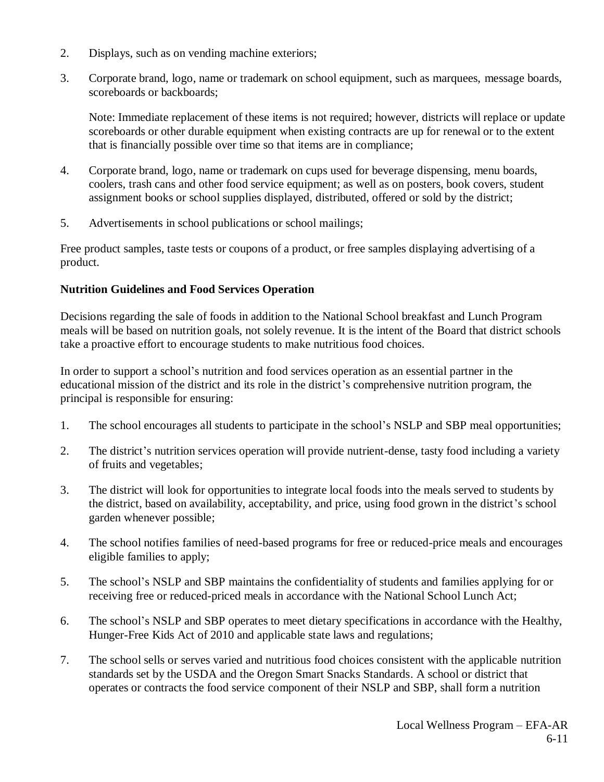- 2. Displays, such as on vending machine exteriors;
- 3. Corporate brand, logo, name or trademark on school equipment, such as marquees, message boards, scoreboards or backboards;

Note: Immediate replacement of these items is not required; however, districts will replace or update scoreboards or other durable equipment when existing contracts are up for renewal or to the extent that is financially possible over time so that items are in compliance;

- 4. Corporate brand, logo, name or trademark on cups used for beverage dispensing, menu boards, coolers, trash cans and other food service equipment; as well as on posters, book covers, student assignment books or school supplies displayed, distributed, offered or sold by the district;
- 5. Advertisements in school publications or school mailings;

Free product samples, taste tests or coupons of a product, or free samples displaying advertising of a product.

## **Nutrition Guidelines and Food Services Operation**

Decisions regarding the sale of foods in addition to the National School breakfast and Lunch Program meals will be based on nutrition goals, not solely revenue. It is the intent of the Board that district schools take a proactive effort to encourage students to make nutritious food choices.

In order to support a school's nutrition and food services operation as an essential partner in the educational mission of the district and its role in the district's comprehensive nutrition program, the principal is responsible for ensuring:

- 1. The school encourages all students to participate in the school's NSLP and SBP meal opportunities;
- 2. The district's nutrition services operation will provide nutrient-dense, tasty food including a variety of fruits and vegetables;
- 3. The district will look for opportunities to integrate local foods into the meals served to students by the district, based on availability, acceptability, and price, using food grown in the district's school garden whenever possible;
- 4. The school notifies families of need-based programs for free or reduced-price meals and encourages eligible families to apply;
- 5. The school's NSLP and SBP maintains the confidentiality of students and families applying for or receiving free or reduced-priced meals in accordance with the National School Lunch Act;
- 6. The school's NSLP and SBP operates to meet dietary specifications in accordance with the Healthy, Hunger-Free Kids Act of 2010 and applicable state laws and regulations;
- 7. The school sells or serves varied and nutritious food choices consistent with the applicable nutrition standards set by the USDA and the Oregon Smart Snacks Standards. A school or district that operates or contracts the food service component of their NSLP and SBP, shall form a nutrition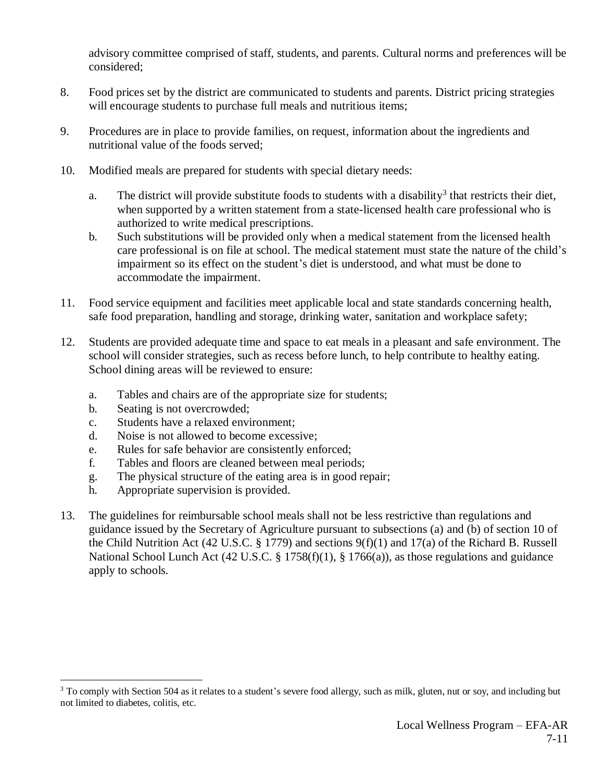advisory committee comprised of staff, students, and parents. Cultural norms and preferences will be considered;

- 8. Food prices set by the district are communicated to students and parents. District pricing strategies will encourage students to purchase full meals and nutritious items;
- 9. Procedures are in place to provide families, on request, information about the ingredients and nutritional value of the foods served;
- 10. Modified meals are prepared for students with special dietary needs:
	- a. The district will provide substitute foods to students with a disability<sup>3</sup> that restricts their diet, when supported by a written statement from a state-licensed health care professional who is authorized to write medical prescriptions.
	- b. Such substitutions will be provided only when a medical statement from the licensed health care professional is on file at school. The medical statement must state the nature of the child's impairment so its effect on the student's diet is understood, and what must be done to accommodate the impairment.
- 11. Food service equipment and facilities meet applicable local and state standards concerning health, safe food preparation, handling and storage, drinking water, sanitation and workplace safety;
- 12. Students are provided adequate time and space to eat meals in a pleasant and safe environment. The school will consider strategies, such as recess before lunch, to help contribute to healthy eating. School dining areas will be reviewed to ensure:
	- a. Tables and chairs are of the appropriate size for students;
	- b. Seating is not overcrowded;

 $\overline{a}$ 

- c. Students have a relaxed environment;
- d. Noise is not allowed to become excessive;
- e. Rules for safe behavior are consistently enforced;
- f. Tables and floors are cleaned between meal periods;
- g. The physical structure of the eating area is in good repair;
- h. Appropriate supervision is provided.
- 13. The guidelines for reimbursable school meals shall not be less restrictive than regulations and guidance issued by the Secretary of Agriculture pursuant to subsections (a) and (b) of section 10 of the Child Nutrition Act (42 U.S.C. § 1779) and sections 9(f)(1) and 17(a) of the Richard B. Russell National School Lunch Act (42 U.S.C. § 1758(f)(1), § 1766(a)), as those regulations and guidance apply to schools.

<sup>&</sup>lt;sup>3</sup> To comply with Section 504 as it relates to a student's severe food allergy, such as milk, gluten, nut or soy, and including but not limited to diabetes, colitis, etc.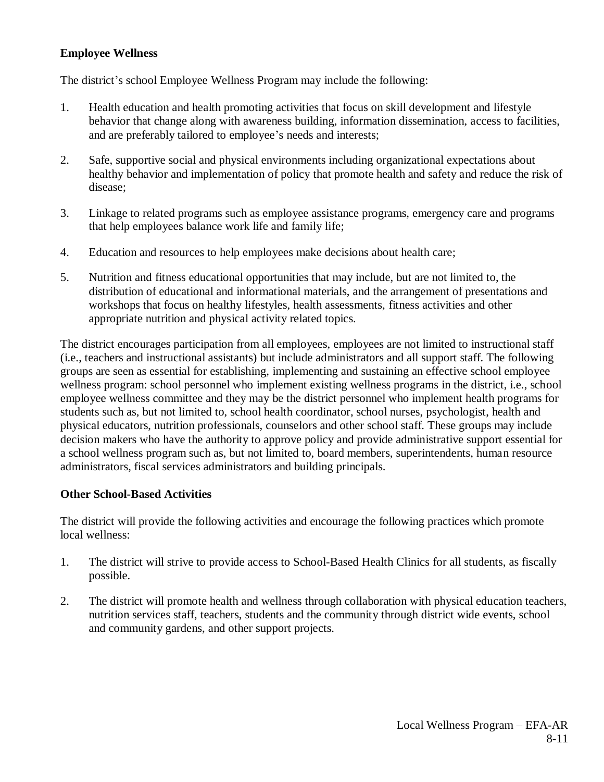# **Employee Wellness**

The district's school Employee Wellness Program may include the following:

- 1. Health education and health promoting activities that focus on skill development and lifestyle behavior that change along with awareness building, information dissemination, access to facilities, and are preferably tailored to employee's needs and interests;
- 2. Safe, supportive social and physical environments including organizational expectations about healthy behavior and implementation of policy that promote health and safety and reduce the risk of disease;
- 3. Linkage to related programs such as employee assistance programs, emergency care and programs that help employees balance work life and family life;
- 4. Education and resources to help employees make decisions about health care;
- 5. Nutrition and fitness educational opportunities that may include, but are not limited to, the distribution of educational and informational materials, and the arrangement of presentations and workshops that focus on healthy lifestyles, health assessments, fitness activities and other appropriate nutrition and physical activity related topics.

The district encourages participation from all employees, employees are not limited to instructional staff (i.e., teachers and instructional assistants) but include administrators and all support staff. The following groups are seen as essential for establishing, implementing and sustaining an effective school employee wellness program: school personnel who implement existing wellness programs in the district, i.e., school employee wellness committee and they may be the district personnel who implement health programs for students such as, but not limited to, school health coordinator, school nurses, psychologist, health and physical educators, nutrition professionals, counselors and other school staff. These groups may include decision makers who have the authority to approve policy and provide administrative support essential for a school wellness program such as, but not limited to, board members, superintendents, human resource administrators, fiscal services administrators and building principals.

## **Other School-Based Activities**

The district will provide the following activities and encourage the following practices which promote local wellness:

- 1. The district will strive to provide access to School-Based Health Clinics for all students, as fiscally possible.
- 2. The district will promote health and wellness through collaboration with physical education teachers, nutrition services staff, teachers, students and the community through district wide events, school and community gardens, and other support projects.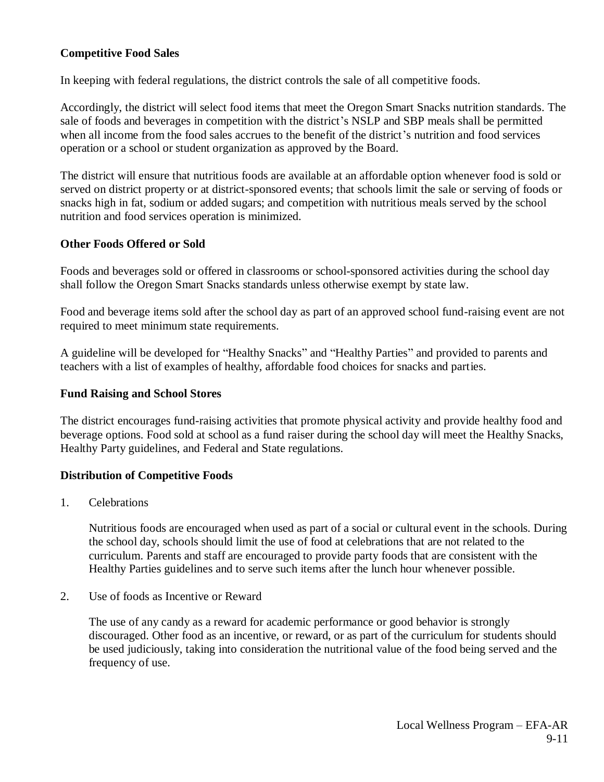## **Competitive Food Sales**

In keeping with federal regulations, the district controls the sale of all competitive foods.

Accordingly, the district will select food items that meet the Oregon Smart Snacks nutrition standards. The sale of foods and beverages in competition with the district's NSLP and SBP meals shall be permitted when all income from the food sales accrues to the benefit of the district's nutrition and food services operation or a school or student organization as approved by the Board.

The district will ensure that nutritious foods are available at an affordable option whenever food is sold or served on district property or at district-sponsored events; that schools limit the sale or serving of foods or snacks high in fat, sodium or added sugars; and competition with nutritious meals served by the school nutrition and food services operation is minimized.

#### **Other Foods Offered or Sold**

Foods and beverages sold or offered in classrooms or school-sponsored activities during the school day shall follow the Oregon Smart Snacks standards unless otherwise exempt by state law.

Food and beverage items sold after the school day as part of an approved school fund-raising event are not required to meet minimum state requirements.

A guideline will be developed for "Healthy Snacks" and "Healthy Parties" and provided to parents and teachers with a list of examples of healthy, affordable food choices for snacks and parties.

#### **Fund Raising and School Stores**

The district encourages fund-raising activities that promote physical activity and provide healthy food and beverage options. Food sold at school as a fund raiser during the school day will meet the Healthy Snacks, Healthy Party guidelines, and Federal and State regulations.

## **Distribution of Competitive Foods**

1. Celebrations

Nutritious foods are encouraged when used as part of a social or cultural event in the schools. During the school day, schools should limit the use of food at celebrations that are not related to the curriculum. Parents and staff are encouraged to provide party foods that are consistent with the Healthy Parties guidelines and to serve such items after the lunch hour whenever possible.

2. Use of foods as Incentive or Reward

The use of any candy as a reward for academic performance or good behavior is strongly discouraged. Other food as an incentive, or reward, or as part of the curriculum for students should be used judiciously, taking into consideration the nutritional value of the food being served and the frequency of use.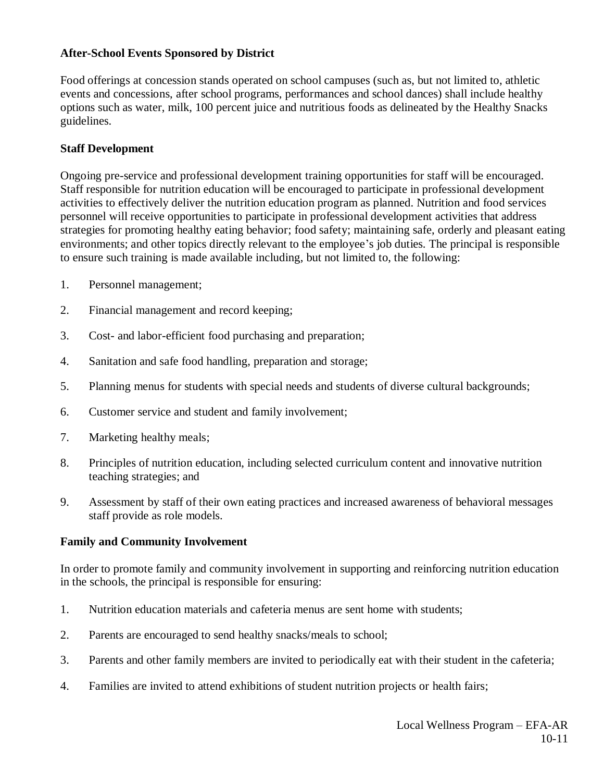#### **After-School Events Sponsored by District**

Food offerings at concession stands operated on school campuses (such as, but not limited to, athletic events and concessions, after school programs, performances and school dances) shall include healthy options such as water, milk, 100 percent juice and nutritious foods as delineated by the Healthy Snacks guidelines.

#### **Staff Development**

Ongoing pre-service and professional development training opportunities for staff will be encouraged. Staff responsible for nutrition education will be encouraged to participate in professional development activities to effectively deliver the nutrition education program as planned. Nutrition and food services personnel will receive opportunities to participate in professional development activities that address strategies for promoting healthy eating behavior; food safety; maintaining safe, orderly and pleasant eating environments; and other topics directly relevant to the employee's job duties. The principal is responsible to ensure such training is made available including, but not limited to, the following:

- 1. Personnel management;
- 2. Financial management and record keeping;
- 3. Cost- and labor-efficient food purchasing and preparation;
- 4. Sanitation and safe food handling, preparation and storage;
- 5. Planning menus for students with special needs and students of diverse cultural backgrounds;
- 6. Customer service and student and family involvement;
- 7. Marketing healthy meals;
- 8. Principles of nutrition education, including selected curriculum content and innovative nutrition teaching strategies; and
- 9. Assessment by staff of their own eating practices and increased awareness of behavioral messages staff provide as role models.

#### **Family and Community Involvement**

In order to promote family and community involvement in supporting and reinforcing nutrition education in the schools, the principal is responsible for ensuring:

- 1. Nutrition education materials and cafeteria menus are sent home with students;
- 2. Parents are encouraged to send healthy snacks/meals to school;
- 3. Parents and other family members are invited to periodically eat with their student in the cafeteria;
- 4. Families are invited to attend exhibitions of student nutrition projects or health fairs;